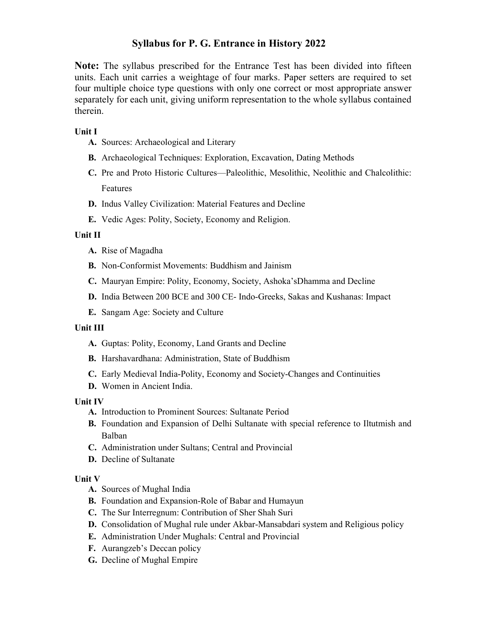# Syllabus for P. G. Entrance in History 2022

Note: The syllabus prescribed for the Entrance Test has been divided into fifteen units. Each unit carries a weightage of four marks. Paper setters are required to set four multiple choice type questions with only one correct or most appropriate answer separately for each unit, giving uniform representation to the whole syllabus contained therein.

### Unit I

- A. Sources: Archaeological and Literary
- B. Archaeological Techniques: Exploration, Excavation, Dating Methods
- C. Pre and Proto Historic Cultures—Paleolithic, Mesolithic, Neolithic and Chalcolithic: Features
- D. Indus Valley Civilization: Material Features and Decline
- E. Vedic Ages: Polity, Society, Economy and Religion.

#### Unit II

- A. Rise of Magadha
- B. Non-Conformist Movements: Buddhism and Jainism
- C. Mauryan Empire: Polity, Economy, Society, Ashoka'sDhamma and Decline
- D. India Between 200 BCE and 300 CE- Indo-Greeks, Sakas and Kushanas: Impact
- E. Sangam Age: Society and Culture

#### Unit III

- A. Guptas: Polity, Economy, Land Grants and Decline
- B. Harshavardhana: Administration, State of Buddhism
- C. Early Medieval India-Polity, Economy and Society-Changes and Continuities
- D. Women in Ancient India.

#### Unit IV

- A. Introduction to Prominent Sources: Sultanate Period
- B. Foundation and Expansion of Delhi Sultanate with special reference to Iltutmish and Balban
- C. Administration under Sultans; Central and Provincial
- D. Decline of Sultanate

#### Unit V

- A. Sources of Mughal India
- B. Foundation and Expansion-Role of Babar and Humayun
- C. The Sur Interregnum: Contribution of Sher Shah Suri
- D. Consolidation of Mughal rule under Akbar-Mansabdari system and Religious policy
- E. Administration Under Mughals: Central and Provincial
- F. Aurangzeb's Deccan policy
- G. Decline of Mughal Empire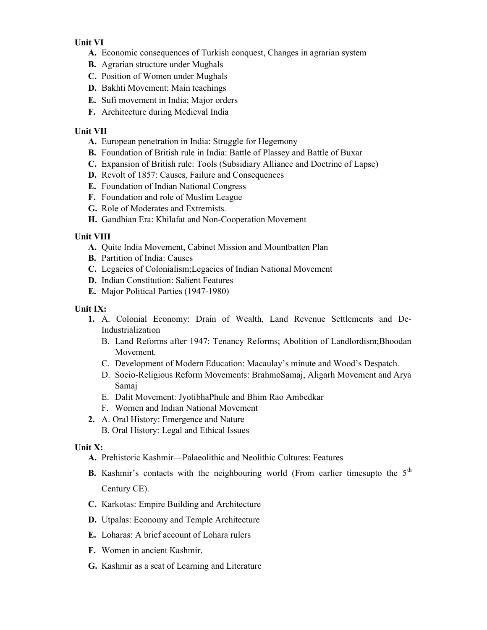### Unit VI

- A. Economic consequences of Turkish conquest, Changes in agrarian system
- B. Agrarian structure under Mughals
- C. Position of Women under Mughals
- D. Bakhti Movement; Main teachings
- E. Sufi movement in India; Major orders
- F. Architecture during Medieval India

# Unit VII

- A. European penetration in India: Struggle for Hegemony
- B. Foundation of British rule in India: Battle of Plassey and Battle of Buxar
- C. Expansion of British rule: Tools (Subsidiary Alliance and Doctrine of Lapse)
- D. Revolt of 1857: Causes, Failure and Consequences
- E. Foundation of Indian National Congress
- F. Foundation and role of Muslim League
- G. Role of Moderates and Extremists.
- H. Gandhian Era: Khilafat and Non-Cooperation Movement

### Unit VIII

- A. Quite India Movement, Cabinet Mission and Mountbatten Plan
- B. Partition of India: Causes
- C. Legacies of Colonialism;Legacies of Indian National Movement
- D. Indian Constitution: Salient Features
- E. Major Political Parties (1947-1980)

# Unit IX:

- 1. A. Colonial Economy: Drain of Wealth, Land Revenue Settlements and De-Industrialization
	- B. Land Reforms after 1947: Tenancy Reforms; Abolition of Landlordism;Bhoodan Movement.
	- C. Development of Modern Education: Macaulay's minute and Wood's Despatch.
	- D. Socio-Religious Reform Movements: BrahmoSamaj, Aligarh Movement and Arya Samaj
	- E. Dalit Movement: JyotibhaPhule and Bhim Rao Ambedkar
	- F. Women and Indian National Movement
- 2. A. Oral History: Emergence and Nature B. Oral History: Legal and Ethical Issues

### Unit X:

- A. Prehistoric Kashmir—Palaeolithic and Neolithic Cultures: Features
- **B.** Kashmir's contacts with the neighbouring world (From earlier timesupto the  $5<sup>th</sup>$ Century CE).
- C. Karkotas: Empire Building and Architecture
- D. Utpalas: Economy and Temple Architecture
- E. Loharas: A brief account of Lohara rulers
- F. Women in ancient Kashmir.
- G. Kashmir as a seat of Learning and Literature